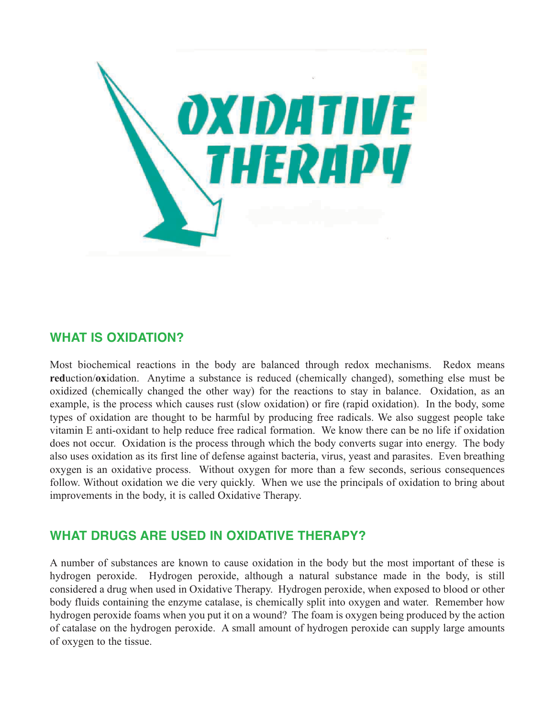

## **WHAT IS OXIDATION?**

Most biochemical reactions in the body are balanced through redox mechanisms. Redox means **red**uction/**ox**idation. Anytime a substance is reduced (chemically changed), something else must be oxidized (chemically changed the other way) for the reactions to stay in balance. Oxidation, as an example, is the process which causes rust (slow oxidation) or fire (rapid oxidation). In the body, some types of oxidation are thought to be harmful by producing free radicals. We also suggest people take vitamin E anti-oxidant to help reduce free radical formation. We know there can be no life if oxidation does not occur. Oxidation is the process through which the body converts sugar into energy. The body also uses oxidation as its first line of defense against bacteria, virus, yeast and parasites. Even breathing oxygen is an oxidative process. Without oxygen for more than a few seconds, serious consequences follow. Without oxidation we die very quickly. When we use the principals of oxidation to bring about improvements in the body, it is called Oxidative Therapy.

## **WHAT DRUGS ARE USED IN OXIDATIVE THERAPY?**

A number of substances are known to cause oxidation in the body but the most important of these is hydrogen peroxide. Hydrogen peroxide, although a natural substance made in the body, is still considered a drug when used in Oxidative Therapy. Hydrogen peroxide, when exposed to blood or other body fluids containing the enzyme catalase, is chemically split into oxygen and water. Remember how hydrogen peroxide foams when you put it on a wound? The foam is oxygen being produced by the action of catalase on the hydrogen peroxide. A small amount of hydrogen peroxide can supply large amounts of oxygen to the tissue.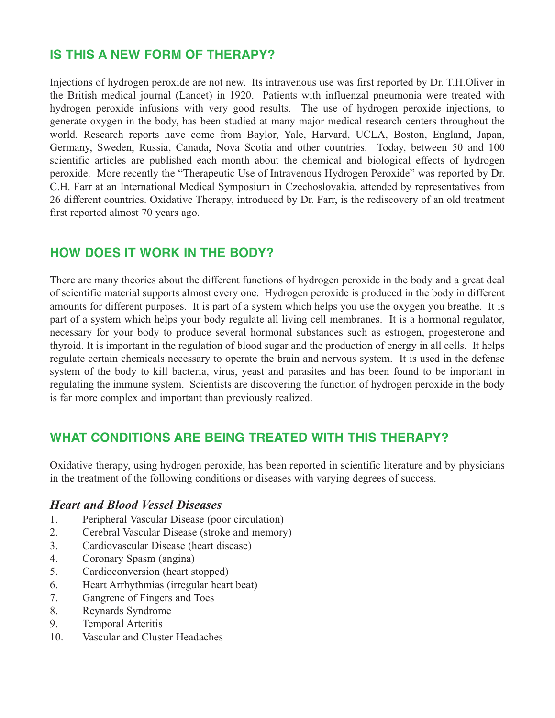# **IS THIS A NEW FORM OF THERAPY?**

Injections of hydrogen peroxide are not new. Its intravenous use was first reported by Dr. T.H.Oliver in the British medical journal (Lancet) in 1920. Patients with influenzal pneumonia were treated with hydrogen peroxide infusions with very good results. The use of hydrogen peroxide injections, to generate oxygen in the body, has been studied at many major medical research centers throughout the world. Research reports have come from Baylor, Yale, Harvard, UCLA, Boston, England, Japan, Germany, Sweden, Russia, Canada, Nova Scotia and other countries. Today, between 50 and 100 scientific articles are published each month about the chemical and biological effects of hydrogen peroxide. More recently the "Therapeutic Use of Intravenous Hydrogen Peroxide" was reported by Dr. C.H. Farr at an International Medical Symposium in Czechoslovakia, attended by representatives from 26 different countries. Oxidative Therapy, introduced by Dr. Farr, is the rediscovery of an old treatment first reported almost 70 years ago.

## **HOW DOES IT WORK IN THE BODY?**

There are many theories about the different functions of hydrogen peroxide in the body and a great deal of scientific material supports almost every one. Hydrogen peroxide is produced in the body in different amounts for different purposes. It is part of a system which helps you use the oxygen you breathe. It is part of a system which helps your body regulate all living cell membranes. It is a hormonal regulator, necessary for your body to produce several hormonal substances such as estrogen, progesterone and thyroid. It is important in the regulation of blood sugar and the production of energy in all cells. It helps regulate certain chemicals necessary to operate the brain and nervous system. It is used in the defense system of the body to kill bacteria, virus, yeast and parasites and has been found to be important in regulating the immune system. Scientists are discovering the function of hydrogen peroxide in the body is far more complex and important than previously realized.

# **WHAT CONDITIONS ARE BEING TREATED WITH THIS THERAPY?**

Oxidative therapy, using hydrogen peroxide, has been reported in scientific literature and by physicians in the treatment of the following conditions or diseases with varying degrees of success.

#### *Heart and Blood Vessel Diseases*

- 1. Peripheral Vascular Disease (poor circulation)
- 2. Cerebral Vascular Disease (stroke and memory)
- 3. Cardiovascular Disease (heart disease)
- 4. Coronary Spasm (angina)
- 5. Cardioconversion (heart stopped)
- 6. Heart Arrhythmias (irregular heart beat)
- 7. Gangrene of Fingers and Toes
- 8. Reynards Syndrome
- 9. Temporal Arteritis
- 10. Vascular and Cluster Headaches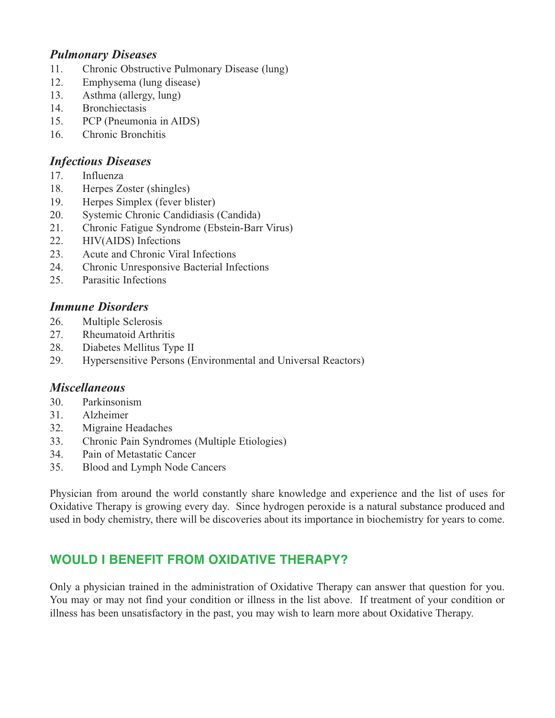### *Pulmonary Diseases*

- 11. Chronic Obstructive Pulmonary Disease (lung)
- 12. Emphysema (lung disease)
- 13. Asthma (allergy, lung)
- 14. Bronchiectasis
- 15. PCP (Pneumonia in AIDS)
- 16. Chronic Bronchitis

### *Infectious Diseases*

- 17. Influenza
- 18. Herpes Zoster (shingles)
- 19. Herpes Simplex (fever blister)
- 20. Systemic Chronic Candidiasis (Candida)
- 21. Chronic Fatigue Syndrome (Ebstein-Barr Virus)
- 22. HIV(AIDS) Infections
- 23. Acute and Chronic Viral Infections
- 24. Chronic Unresponsive Bacterial Infections
- 25. Parasitic Infections

### *Immune Disorders*

- 26. Multiple Sclerosis
- 27. Rheumatoid Arthritis
- 28. Diabetes Mellitus Type II
- 29. Hypersensitive Persons (Environmental and Universal Reactors)

## *Miscellaneous*

- 30. Parkinsonism
- 31. Alzheimer
- 32. Migraine Headaches
- 33. Chronic Pain Syndromes (Multiple Etiologies)
- 34. Pain of Metastatic Cancer
- 35. Blood and Lymph Node Cancers

Physician from around the world constantly share knowledge and experience and the list of uses for Oxidative Therapy is growing every day. Since hydrogen peroxide is a natural substance produced and used in body chemistry, there will be discoveries about its importance in biochemistry for years to come.

# **WOULD I BENEFIT FROM OXIDATIVE THERAPY?**

Only a physician trained in the administration of Oxidative Therapy can answer that question for you. You may or may not find your condition or illness in the list above. If treatment of your condition or illness has been unsatisfactory in the past, you may wish to learn more about Oxidative Therapy.